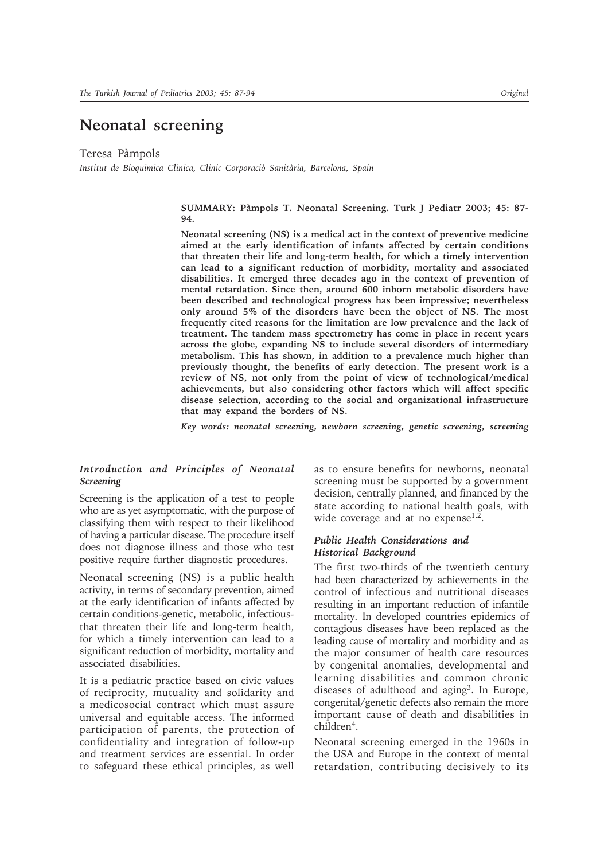# **Neonatal screening**

Teresa Pàmpols

*Institut de Bioquimica Clinica, Clinic Corporaciò Sanitària, Barcelona, Spain*

**SUMMARY: Pàmpols T. Neonatal Screening. Turk J Pediatr 2003; 45: 87- 94.**

**Neonatal screening (NS) is a medical act in the context of preventive medicine aimed at the early identification of infants affected by certain conditions that threaten their life and long-term health, for which a timely intervention can lead to a significant reduction of morbidity, mortality and associated disabilities. It emerged three decades ago in the context of prevention of mental retardation. Since then, around 600 inborn metabolic disorders have been described and technological progress has been impressive; nevertheless only around 5% of the disorders have been the object of NS. The most frequently cited reasons for the limitation are low prevalence and the lack of treatment. The tandem mass spectrometry has come in place in recent years across the globe, expanding NS to include several disorders of intermediary metabolism. This has shown, in addition to a prevalence much higher than previously thought, the benefits of early detection. The present work is a review of NS, not only from the point of view of technological/medical achievements, but also considering other factors which will affect specific disease selection, according to the social and organizational infrastructure that may expand the borders of NS.**

*Key words: neonatal screening, newborn screening, genetic screening, screening* 

## *Introduction and Principles of Neonatal Screening*

Screening is the application of a test to people who are as yet asymptomatic, with the purpose of classifying them with respect to their likelihood of having a particular disease. The procedure itself does not diagnose illness and those who test positive require further diagnostic procedures.

Neonatal screening (NS) is a public health activity, in terms of secondary prevention, aimed at the early identification of infants affected by certain conditions-genetic, metabolic, infectiousthat threaten their life and long-term health, for which a timely intervention can lead to a significant reduction of morbidity, mortality and associated disabilities.

It is a pediatric practice based on civic values of reciprocity, mutuality and solidarity and a medicosocial contract which must assure universal and equitable access. The informed participation of parents, the protection of confidentiality and integration of follow-up and treatment services are essential. In order to safeguard these ethical principles, as well

as to ensure benefits for newborns, neonatal screening must be supported by a government decision, centrally planned, and financed by the state according to national health goals, with wide coverage and at no expense<sup>1,2</sup>.

### *Public Health Considerations and Historical Background*

The first two-thirds of the twentieth century had been characterized by achievements in the control of infectious and nutritional diseases resulting in an important reduction of infantile mortality. In developed countries epidemics of contagious diseases have been replaced as the leading cause of mortality and morbidity and as the major consumer of health care resources by congenital anomalies, developmental and learning disabilities and common chronic diseases of adulthood and aging<sup>3</sup>. In Europe, congenital/genetic defects also remain the more important cause of death and disabilities in children<sup>4</sup>.

Neonatal screening emerged in the 1960s in the USA and Europe in the context of mental retardation, contributing decisively to its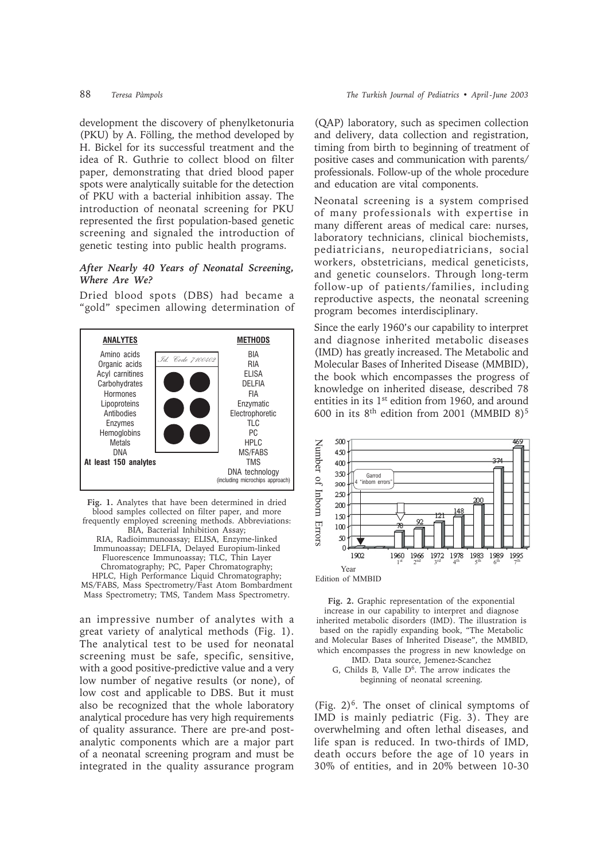development the discovery of phenylketonuria (PKU) by A. Fölling, the method developed by H. Bickel for its successful treatment and the idea of R. Guthrie to collect blood on filter paper, demonstrating that dried blood paper spots were analytically suitable for the detection of PKU with a bacterial inhibition assay. The introduction of neonatal screening for PKU represented the first population-based genetic screening and signaled the introduction of genetic testing into public health programs.

### *After Nearly 40 Years of Neonatal Screening, Where Are We?*

Dried blood spots (DBS) had became a "gold" specimen allowing determination of



**Fig. 1.** Analytes that have been determined in dried blood samples collected on filter paper, and more frequently employed screening methods. Abbreviations: BIA, Bacterial Inhibition Assay; RIA, Radioimmunoassay; ELISA, Enzyme-linked Immunoassay; DELFIA, Delayed Europium-linked Fluorescence Immunoassay; TLC, Thin Layer Chromatography; PC, Paper Chromatography; HPLC, High Performance Liquid Chromatography; MS/FABS, Mass Spectrometry/Fast Atom Bombardment Mass Spectrometry; TMS, Tandem Mass Spectrometry.

an impressive number of analytes with a great variety of analytical methods (Fig. 1). The analytical test to be used for neonatal screening must be safe, specific, sensitive, with a good positive-predictive value and a very low number of negative results (or none), of low cost and applicable to DBS. But it must also be recognized that the whole laboratory analytical procedure has very high requirements of quality assurance. There are pre-and postanalytic components which are a major part of a neonatal screening program and must be integrated in the quality assurance program

(QAP) laboratory, such as specimen collection and delivery, data collection and registration, timing from birth to beginning of treatment of positive cases and communication with parents/ professionals. Follow-up of the whole procedure and education are vital components.

Neonatal screening is a system comprised of many professionals with expertise in many different areas of medical care: nurses, laboratory technicians, clinical biochemists, pediatricians, neuropediatricians, social workers, obstetricians, medical geneticists, and genetic counselors. Through long-term follow-up of patients/families, including reproductive aspects, the neonatal screening program becomes interdisciplinary.

Since the early 1960's our capability to interpret and diagnose inherited metabolic diseases (IMD) has greatly increased. The Metabolic and Molecular Bases of Inherited Disease (MMBID), the book which encompasses the progress of knowledge on inherited disease, described 78 entities in its 1<sup>st</sup> edition from 1960, and around 600 in its  $8<sup>th</sup>$  edition from 2001 (MMBID  $8$ )<sup>5</sup>



**Fig. 2.** Graphic representation of the exponential increase in our capability to interpret and diagnose inherited metabolic disorders (IMD). The illustration is based on the rapidly expanding book, "The Metabolic and Molecular Bases of Inherited Disease", the MMBID, which encompasses the progress in new knowledge on IMD. Data source, Jemenez-Scanchez

G, Childs B, Valle  $D^6$ . The arrow indicates the beginning of neonatal screening.

(Fig.  $2)^6$ . The onset of clinical symptoms of IMD is mainly pediatric (Fig. 3). They are overwhelming and often lethal diseases, and life span is reduced. In two-thirds of IMD, death occurs before the age of 10 years in 30% of entities, and in 20% between 10-30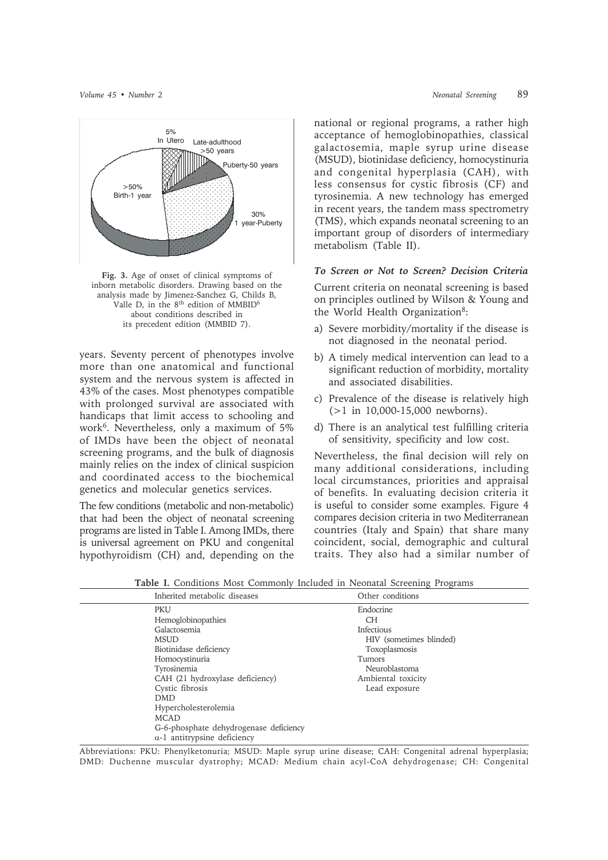

**Fig. 3.** Age of onset of clinical symptoms of inborn metabolic disorders. Drawing based on the analysis made by Jimenez-Sanchez G, Childs B, Valle D, in the  $8<sup>th</sup>$  edition of MMBID<sup>6</sup> about conditions described in its precedent edition (MMBID 7).

years. Seventy percent of phenotypes involve more than one anatomical and functional system and the nervous system is affected in 43% of the cases. Most phenotypes compatible with prolonged survival are associated with handicaps that limit access to schooling and work<sup>6</sup>. Nevertheless, only a maximum of  $5\%$ of IMDs have been the object of neonatal screening programs, and the bulk of diagnosis mainly relies on the index of clinical suspicion and coordinated access to the biochemical genetics and molecular genetics services.

The few conditions (metabolic and non-metabolic) that had been the object of neonatal screening programs are listed in Table I. Among IMDs, there is universal agreement on PKU and congenital hypothyroidism (CH) and, depending on the

*Volume 45 • Number 2 Neonatal Screening* 89

national or regional programs, a rather high acceptance of hemoglobinopathies, classical galactosemia, maple syrup urine disease (MSUD), biotinidase deficiency, homocystinuria and congenital hyperplasia (CAH), with less consensus for cystic fibrosis (CF) and tyrosinemia. A new technology has emerged in recent years, the tandem mass spectrometry (TMS), which expands neonatal screening to an important group of disorders of intermediary metabolism (Table II).

# *To Screen or Not to Screen? Decision Criteria*

Current criteria on neonatal screening is based on principles outlined by Wilson & Young and the World Health Organization<sup>8</sup>:

- a) Severe morbidity/mortality if the disease is not diagnosed in the neonatal period.
- b) A timely medical intervention can lead to a significant reduction of morbidity, mortality and associated disabilities.
- c) Prevalence of the disease is relatively high (>1 in 10,000-15,000 newborns).
- d) There is an analytical test fulfilling criteria of sensitivity, specificity and low cost.

Nevertheless, the final decision will rely on many additional considerations, including local circumstances, priorities and appraisal of benefits. In evaluating decision criteria it is useful to consider some examples. Figure 4 compares decision criteria in two Mediterranean countries (Italy and Spain) that share many coincident, social, demographic and cultural traits. They also had a similar number of

| Inherited metabolic diseases           | Other conditions        |
|----------------------------------------|-------------------------|
| <b>PKU</b>                             | Endocrine               |
| Hemoglobinopathies                     | CН                      |
| Galactosemia                           | Infectious              |
| <b>MSUD</b>                            | HIV (sometimes blinded) |
| Biotinidase deficiency                 | Toxoplasmosis           |
| Homocystinuria                         | Tumors                  |
| Tyrosinemia                            | Neuroblastoma           |
| CAH (21 hydroxylase deficiency)        | Ambiental toxicity      |
| Cystic fibrosis                        | Lead exposure           |
| <b>DMD</b>                             |                         |
| Hypercholesterolemia                   |                         |
| <b>MCAD</b>                            |                         |
| G-6-phosphate dehydrogenase deficiency |                         |
| $\alpha$ -1 antitrypsine deficiency    |                         |

**Table I.** Conditions Most Commonly Included in Neonatal Screening Programs

Abbreviations: PKU: Phenylketonuria; MSUD: Maple syrup urine disease; CAH: Congenital adrenal hyperplasia; DMD: Duchenne muscular dystrophy; MCAD: Medium chain acyl-CoA dehydrogenase; CH: Congenital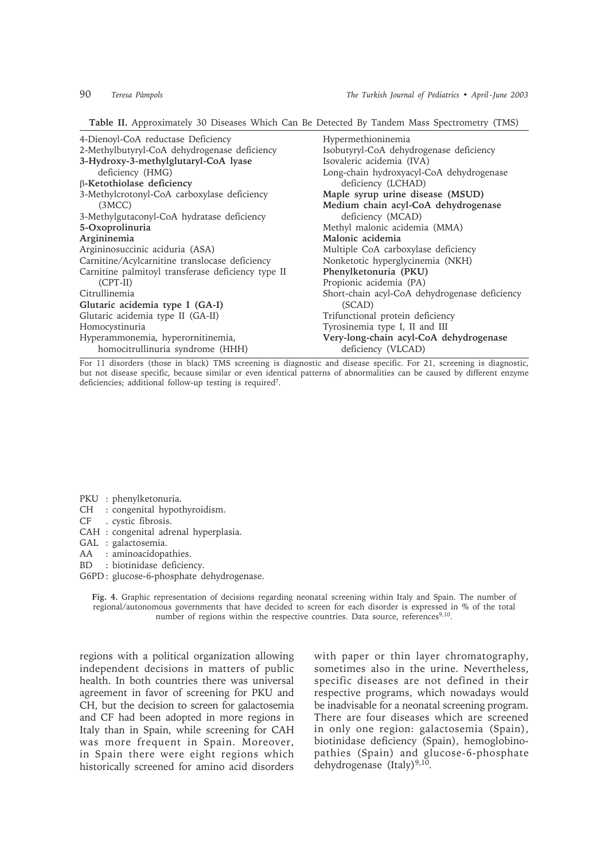**Table II.** Approximately 30 Diseases Which Can Be Detected By Tandem Mass Spectrometry (TMS)

| 4-Dienoyl-CoA reductase Deficiency                                                   | Hypermethioninemia                                                   |
|--------------------------------------------------------------------------------------|----------------------------------------------------------------------|
| 2-Methylbutyryl-CoA dehydrogenase deficiency<br>3-Hydroxy-3-methylglutaryl-CoA lyase | Isobutyryl-CoA dehydrogenase deficiency<br>Isovaleric acidemia (IVA) |
| deficiency (HMG)                                                                     | Long-chain hydroxyacyl-CoA dehydrogenase                             |
| β-Ketothiolase deficiency                                                            | deficiency (LCHAD)                                                   |
| 3-Methylcrotonyl-CoA carboxylase deficiency                                          | Maple syrup urine disease (MSUD)                                     |
| (3MCC)                                                                               | Medium chain acyl-CoA dehydrogenase                                  |
| 3-Methylgutaconyl-CoA hydratase deficiency                                           | deficiency (MCAD)                                                    |
| 5-Oxoprolinuria                                                                      | Methyl malonic acidemia (MMA)                                        |
| Argininemia                                                                          | Malonic acidemia                                                     |
| Argininosuccinic aciduria (ASA)                                                      | Multiple CoA carboxylase deficiency                                  |
| Carnitine/Acylcarnitine translocase deficiency                                       | Nonketotic hyperglycinemia (NKH)                                     |
| Carnitine palmitoyl transferase deficiency type II                                   | Phenylketonuria (PKU)                                                |
| $(CPT-II)$                                                                           | Propionic acidemia (PA)                                              |
| Citrullinemia                                                                        | Short-chain acyl-CoA dehydrogenase deficiency                        |
| Glutaric acidemia type I (GA-I)                                                      | (SCAD)                                                               |
| Glutaric acidemia type II (GA-II)                                                    | Trifunctional protein deficiency                                     |
| Homocystinuria                                                                       | Tyrosinemia type I, II and III                                       |
| Hyperammonemia, hyperornitinemia,<br>homocitrullinuria syndrome (HHH)                | Very-long-chain acyl-CoA dehydrogenase<br>deficiency (VLCAD)         |

For 11 disorders (those in black) TMS screening is diagnostic and disease specific. For 21, screening is diagnostic, but not disease specific, because similar or even identical patterns of abnormalities can be caused by different enzyme deficiencies; additional follow-up testing is required<sup>7</sup>.

PKU : phenylketonuria.

- CH : congenital hypothyroidism.<br>CF : cystic fibrosis.
- . cystic fibrosis.
- CAH : congenital adrenal hyperplasia.
- GAL : galactosemia.
- AA : aminoacidopathies.
- BD : biotinidase deficiency.
- G6PD : glucose-6-phosphate dehydrogenase.

**Fig. 4.** Graphic representation of decisions regarding neonatal screening within Italy and Spain. The number of regional/autonomous governments that have decided to screen for each disorder is expressed in % of the total number of regions within the respective countries. Data source, references<sup>9,10</sup>.

regions with a political organization allowing independent decisions in matters of public health. In both countries there was universal agreement in favor of screening for PKU and CH, but the decision to screen for galactosemia and CF had been adopted in more regions in Italy than in Spain, while screening for CAH was more frequent in Spain. Moreover, in Spain there were eight regions which historically screened for amino acid disorders with paper or thin layer chromatography, sometimes also in the urine. Nevertheless, specific diseases are not defined in their respective programs, which nowadays would be inadvisable for a neonatal screening program. There are four diseases which are screened in only one region: galactosemia (Spain), biotinidase deficiency (Spain), hemoglobinopathies (Spain) and glucose-6-phosphate dehydrogenase (Italy)<sup>9,10</sup>.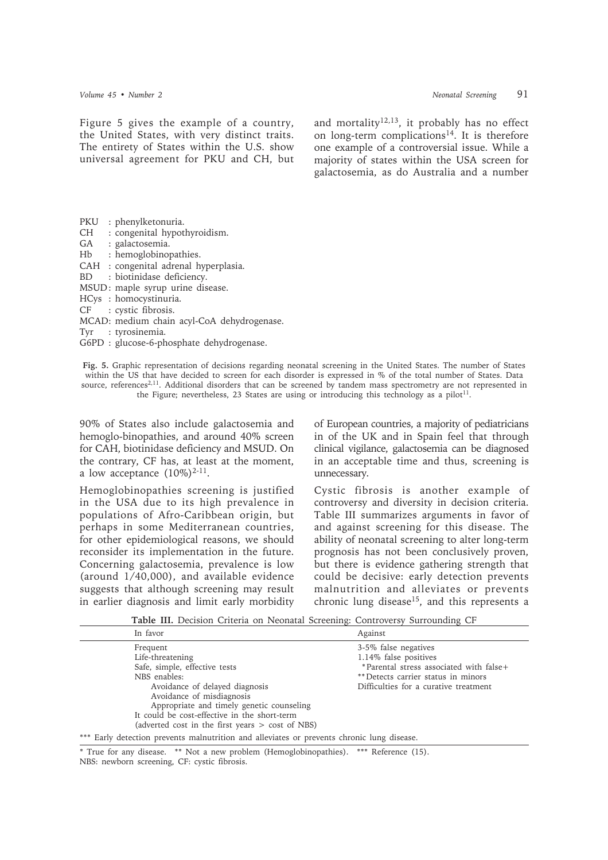and mortality<sup>12,13</sup>, it probably has no effect on long-term complications<sup>14</sup>. It is therefore one example of a controversial issue. While a majority of states within the USA screen for galactosemia, as do Australia and a number

- PKU : phenylketonuria.
- CH : congenital hypothyroidism.
- GA : galactosemia.
- Hb : hemoglobinopathies.
- CAH : congenital adrenal hyperplasia.
- BD : biotinidase deficiency.
- MSUD: maple syrup urine disease.
- HCys : homocystinuria.<br>CF : cystic fibrosis
- : cystic fibrosis.
- MCAD: medium chain acyl-CoA dehydrogenase.
- Tyr : tyrosinemia.
- G6PD : glucose-6-phosphate dehydrogenase.

**Fig. 5.** Graphic representation of decisions regarding neonatal screening in the United States. The number of States within the US that have decided to screen for each disorder is expressed in % of the total number of States. Data source, references<sup>2,11</sup>. Additional disorders that can be screened by tandem mass spectrometry are not represented in the Figure; nevertheless, 23 States are using or introducing this technology as a pilot<sup>11</sup>.

90% of States also include galactosemia and hemoglo-binopathies, and around 40% screen for CAH, biotinidase deficiency and MSUD. On the contrary, CF has, at least at the moment, a low acceptance  $(10\%)^{2-11}$ .

Hemoglobinopathies screening is justified in the USA due to its high prevalence in populations of Afro-Caribbean origin, but perhaps in some Mediterranean countries, for other epidemiological reasons, we should reconsider its implementation in the future. Concerning galactosemia, prevalence is low (around 1/40,000), and available evidence suggests that although screening may result in earlier diagnosis and limit early morbidity

of European countries, a majority of pediatricians in of the UK and in Spain feel that through clinical vigilance, galactosemia can be diagnosed in an acceptable time and thus, screening is unnecessary.

Cystic fibrosis is another example of controversy and diversity in decision criteria. Table III summarizes arguments in favor of and against screening for this disease. The ability of neonatal screening to alter long-term prognosis has not been conclusively proven, but there is evidence gathering strength that could be decisive: early detection prevents malnutrition and alleviates or prevents chronic lung disease<sup>15</sup>, and this represents a

**Table III.** Decision Criteria on Neonatal Screening: Controversy Surrounding CF

| In favor                                                                                   | Against                                 |
|--------------------------------------------------------------------------------------------|-----------------------------------------|
| Frequent                                                                                   | 3-5% false negatives                    |
| Life-threatening                                                                           | 1.14% false positives                   |
| Safe, simple, effective tests                                                              | *Parental stress associated with false+ |
| NBS enables:                                                                               | ** Detects carrier status in minors     |
| Avoidance of delayed diagnosis                                                             | Difficulties for a curative treatment   |
| Avoidance of misdiagnosis                                                                  |                                         |
| Appropriate and timely genetic counseling                                                  |                                         |
| It could be cost-effective in the short-term                                               |                                         |
| (adverted cost in the first years $>$ cost of NBS)                                         |                                         |
| *** Early detection prevents malnutrition and alleviates or prevents chronic lung disease. |                                         |

\* True for any disease. \*\* Not a new problem (Hemoglobinopathies). \*\*\* Reference (15). NBS: newborn screening, CF: cystic fibrosis.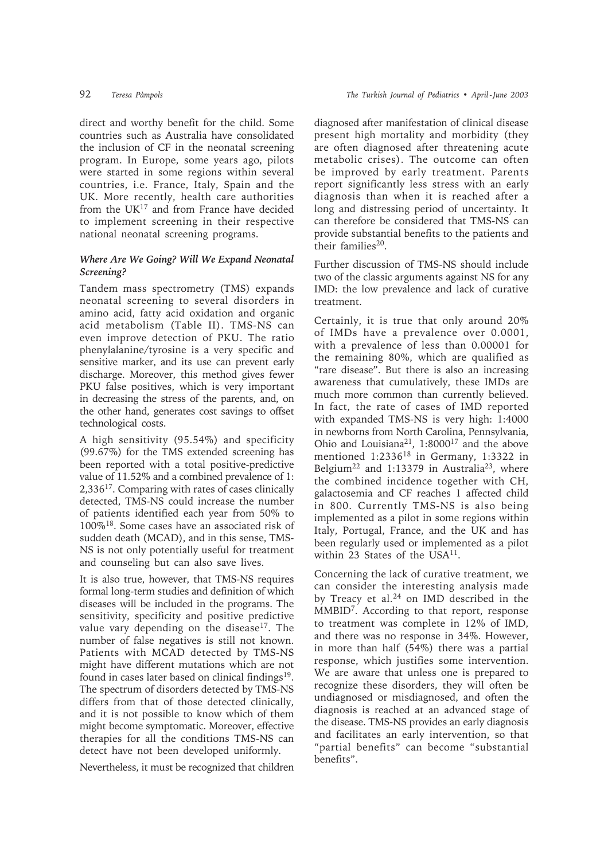direct and worthy benefit for the child. Some countries such as Australia have consolidated the inclusion of CF in the neonatal screening program. In Europe, some years ago, pilots were started in some regions within several countries, i.e. France, Italy, Spain and the UK. More recently, health care authorities from the  $UK^{17}$  and from France have decided to implement screening in their respective national neonatal screening programs.

## *Where Are We Going? Will We Expand Neonatal Screening?*

Tandem mass spectrometry (TMS) expands neonatal screening to several disorders in amino acid, fatty acid oxidation and organic acid metabolism (Table II). TMS-NS can even improve detection of PKU. The ratio phenylalanine/tyrosine is a very specific and sensitive marker, and its use can prevent early discharge. Moreover, this method gives fewer PKU false positives, which is very important in decreasing the stress of the parents, and, on the other hand, generates cost savings to offset technological costs.

A high sensitivity (95.54%) and specificity (99.67%) for the TMS extended screening has been reported with a total positive-predictive value of 11.52% and a combined prevalence of 1: 2,33617. Comparing with rates of cases clinically detected, TMS-NS could increase the number of patients identified each year from 50% to 100%18. Some cases have an associated risk of sudden death (MCAD), and in this sense, TMS-NS is not only potentially useful for treatment and counseling but can also save lives.

It is also true, however, that TMS-NS requires formal long-term studies and definition of which diseases will be included in the programs. The sensitivity, specificity and positive predictive value vary depending on the disease<sup>17</sup>. The number of false negatives is still not known. Patients with MCAD detected by TMS-NS might have different mutations which are not found in cases later based on clinical findings $19$ . The spectrum of disorders detected by TMS-NS differs from that of those detected clinically, and it is not possible to know which of them might become symptomatic. Moreover, effective therapies for all the conditions TMS-NS can detect have not been developed uniformly.

Nevertheless, it must be recognized that children

diagnosed after manifestation of clinical disease present high mortality and morbidity (they are often diagnosed after threatening acute metabolic crises). The outcome can often be improved by early treatment. Parents report significantly less stress with an early diagnosis than when it is reached after a long and distressing period of uncertainty. It can therefore be considered that TMS-NS can provide substantial benefits to the patients and their families<sup>20</sup>.

Further discussion of TMS-NS should include two of the classic arguments against NS for any IMD: the low prevalence and lack of curative treatment.

Certainly, it is true that only around 20% of IMDs have a prevalence over 0.0001, with a prevalence of less than 0.00001 for the remaining 80%, which are qualified as "rare disease". But there is also an increasing awareness that cumulatively, these IMDs are much more common than currently believed. In fact, the rate of cases of IMD reported with expanded TMS-NS is very high: 1:4000 in newborns from North Carolina, Pennsylvania, Ohio and Louisiana21, 1:800017 and the above mentioned 1:233618 in Germany, 1:3322 in Belgium<sup>22</sup> and 1:13379 in Australia<sup>23</sup>, where the combined incidence together with CH, galactosemia and CF reaches 1 affected child in 800. Currently TMS-NS is also being implemented as a pilot in some regions within Italy, Portugal, France, and the UK and has been regularly used or implemented as a pilot within 23 States of the USA<sup>11</sup>.

Concerning the lack of curative treatment, we can consider the interesting analysis made by Treacy et al.<sup>24</sup> on IMD described in the MMBID7. According to that report, response to treatment was complete in 12% of IMD, and there was no response in 34%. However, in more than half (54%) there was a partial response, which justifies some intervention. We are aware that unless one is prepared to recognize these disorders, they will often be undiagnosed or misdiagnosed, and often the diagnosis is reached at an advanced stage of the disease. TMS-NS provides an early diagnosis and facilitates an early intervention, so that "partial benefits" can become "substantial benefits".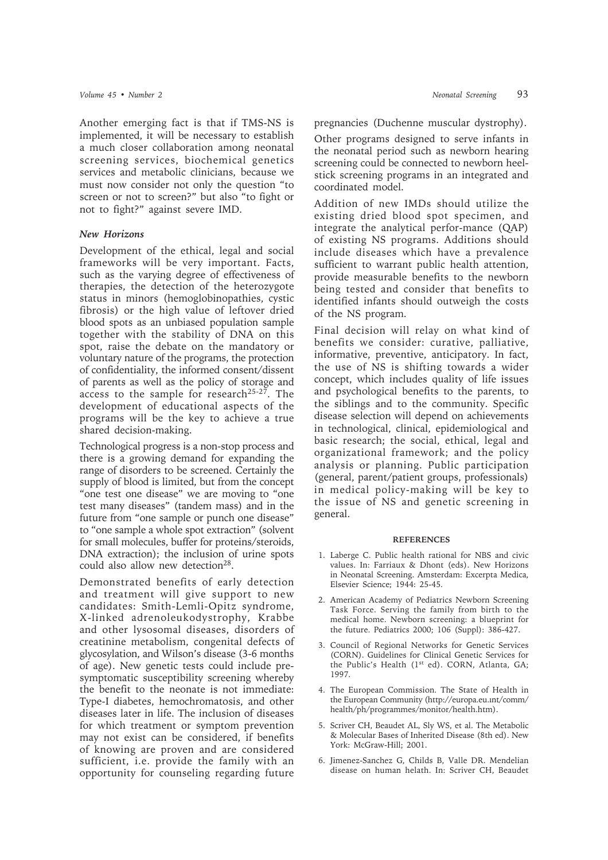Another emerging fact is that if TMS-NS is implemented, it will be necessary to establish a much closer collaboration among neonatal screening services, biochemical genetics services and metabolic clinicians, because we must now consider not only the question "to screen or not to screen?" but also "to fight or not to fight?" against severe IMD.

### *New Horizons*

Development of the ethical, legal and social frameworks will be very important. Facts, such as the varying degree of effectiveness of therapies, the detection of the heterozygote status in minors (hemoglobinopathies, cystic fibrosis) or the high value of leftover dried blood spots as an unbiased population sample together with the stability of DNA on this spot, raise the debate on the mandatory or voluntary nature of the programs, the protection of confidentiality, the informed consent/dissent of parents as well as the policy of storage and access to the sample for research<sup>25-27</sup>. The development of educational aspects of the programs will be the key to achieve a true shared decision-making.

Technological progress is a non-stop process and there is a growing demand for expanding the range of disorders to be screened. Certainly the supply of blood is limited, but from the concept "one test one disease" we are moving to "one test many diseases" (tandem mass) and in the future from "one sample or punch one disease" to "one sample a whole spot extraction" (solvent for small molecules, buffer for proteins/steroids, DNA extraction); the inclusion of urine spots could also allow new detection<sup>28</sup>.

Demonstrated benefits of early detection and treatment will give support to new candidates: Smith-Lemli-Opitz syndrome, X-linked adrenoleukodystrophy, Krabbe and other lysosomal diseases, disorders of creatinine metabolism, congenital defects of glycosylation, and Wilson's disease (3-6 months of age). New genetic tests could include presymptomatic susceptibility screening whereby the benefit to the neonate is not immediate: Type-I diabetes, hemochromatosis, and other diseases later in life. The inclusion of diseases for which treatment or symptom prevention may not exist can be considered, if benefits of knowing are proven and are considered sufficient, i.e. provide the family with an opportunity for counseling regarding future

pregnancies (Duchenne muscular dystrophy).

Other programs designed to serve infants in the neonatal period such as newborn hearing screening could be connected to newborn heelstick screening programs in an integrated and coordinated model.

Addition of new IMDs should utilize the existing dried blood spot specimen, and integrate the analytical perfor-mance (QAP) of existing NS programs. Additions should include diseases which have a prevalence sufficient to warrant public health attention, provide measurable benefits to the newborn being tested and consider that benefits to identified infants should outweigh the costs of the NS program.

Final decision will relay on what kind of benefits we consider: curative, palliative, informative, preventive, anticipatory. In fact, the use of NS is shifting towards a wider concept, which includes quality of life issues and psychological benefits to the parents, to the siblings and to the community. Specific disease selection will depend on achievements in technological, clinical, epidemiological and basic research; the social, ethical, legal and organizational framework; and the policy analysis or planning. Public participation (general, parent/patient groups, professionals) in medical policy-making will be key to the issue of NS and genetic screening in general.

### **REFERENCES**

- 1. Laberge C. Public health rational for NBS and civic values. In: Farriaux & Dhont (eds). New Horizons in Neonatal Screening. Amsterdam: Excerpta Medica, Elsevier Science; 1944: 25-45.
- 2. American Academy of Pediatrics Newborn Screening Task Force. Serving the family from birth to the medical home. Newborn screening: a blueprint for the future. Pediatrics 2000; 106 (Suppl): 386-427.
- 3. Council of Regional Networks for Genetic Services (CORN). Guidelines for Clinical Genetic Services for the Public's Health (1<sup>st</sup> ed). CORN, Atlanta, GA; 1997.
- 4. The European Commission. The State of Health in the European Community (http://europa.eu.int/comm/ health/ph/programmes/monitor/health.htm).
- 5. Scriver CH, Beaudet AL, Sly WS, et al. The Metabolic & Molecular Bases of Inherited Disease (8th ed). New York: McGraw-Hill; 2001.
- 6. Jimenez-Sanchez G, Childs B, Valle DR. Mendelian disease on human helath. In: Scriver CH, Beaudet